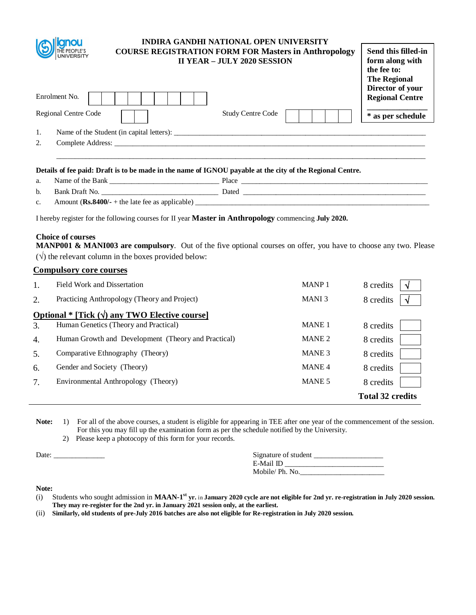| THE PEOPLE'S<br>UNIVERSITY | <b>INDIRA GANDHI NATIONAL OPEN UNIVERSITY</b><br><b>COURSE REGISTRATION FORM FOR Masters in Anthropology</b> | <b>II YEAR - JULY 2020 SESSION</b> | Send this filled-in<br>form along with<br>the fee to:<br><b>The Regional</b><br>Director of your |
|----------------------------|--------------------------------------------------------------------------------------------------------------|------------------------------------|--------------------------------------------------------------------------------------------------|
| Enrolment No.              |                                                                                                              |                                    | <b>Regional Centre</b>                                                                           |
| Regional Centre Code       |                                                                                                              | <b>Study Centre Code</b>           | * as per schedule                                                                                |
| 1.                         | Name of the Student (in capital letters):                                                                    |                                    |                                                                                                  |
| 2.                         |                                                                                                              |                                    |                                                                                                  |
|                            | Details of fee paid: Draft is to be made in the name of ICNOU payable at the city of the Regional Centre     |                                    |                                                                                                  |

#### **Details of fee paid: Draft is to be made in the name of IGNOU payable at the city of the Regional Centre.** Name of the Bank  $\Box$

| a. | <b>Bank</b>                                      | riace        |
|----|--------------------------------------------------|--------------|
| b. | - Rank Draft No                                  | <b>Dated</b> |
| C. | Amount $(Rs.8400/+)$ the late fee as applicable) |              |

I hereby register for the following courses for II year **Master in Anthropology** commencing **July 2020.** 

# **Choice of courses**

**MANP001 & MANI003 are compulsory**. Out of the five optional courses on offer, you have to choose any two. Please  $(\sqrt{\ })$  the relevant column in the boxes provided below:

# **Compulsory core courses**

|               | Field Work and Dissertation                           | MANP <sub>1</sub> | 8 credits<br>N          |
|---------------|-------------------------------------------------------|-------------------|-------------------------|
| $\mathcal{L}$ | Practicing Anthropology (Theory and Project)          | MANI <sub>3</sub> | 8 credits               |
|               | Optional * [Tick $(\sqrt{})$ any TWO Elective course] |                   |                         |
| 3.            | Human Genetics (Theory and Practical)                 | <b>MANE1</b>      | 8 credits               |
| 4.            | Human Growth and Development (Theory and Practical)   | MANE 2            | 8 credits               |
| .5.           | Comparative Ethnography (Theory)                      | MANE <sub>3</sub> | 8 credits               |
| 6.            | Gender and Society (Theory)                           | MANE <sub>4</sub> | 8 credits               |
| $7_{\cdot}$   | Environmental Anthropology (Theory)                   | MANE 5            | 8 credits               |
|               |                                                       |                   | <b>Total 32 credits</b> |

Note: 1) For all of the above courses, a student is eligible for appearing in TEE after one year of the commencement of the session. For this you may fill up the examination form as per the schedule notified by the University.

2) Please keep a photocopy of this form for your records.

Date: \_\_\_\_\_\_\_\_\_\_\_\_\_\_ Signature of student \_\_\_\_\_\_\_\_\_\_\_\_\_\_\_\_\_\_\_ E-Mail ID \_\_\_\_\_\_\_\_\_\_\_\_\_\_\_\_\_\_\_\_\_\_\_\_\_\_\_ Mobile/ Ph. No.\_\_\_\_\_\_\_\_\_\_\_\_\_\_\_\_\_\_\_\_\_\_\_

- (i) Students who sought admission in **MAAN-1 st yr.** in **January 2020 cycle are not eligible for 2nd yr. re-registration in July 2020 session. They may re-register for the 2nd yr. in January 2021 session only, at the earliest.**
- (ii) **Similarly, old students of pre-July 2016 batches are also not eligible for Re-registration in July 2020 session.**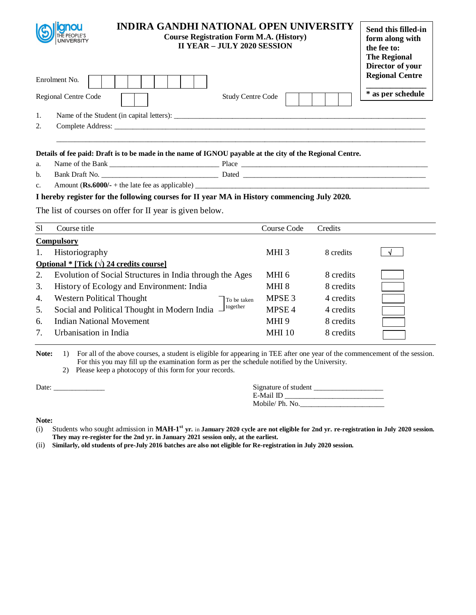| THE PEOPLE'S<br>UNIVERSITY |                                                  | <b>INDIRA GANDHI NATIONAL OPEN UNIVERSITY</b><br><b>Course Registration Form M.A. (History)</b><br><b>II YEAR - JULY 2020 SESSION</b> | Send this filled-in<br>form along with<br>the fee to:<br><b>The Regional</b><br>Director of your<br><b>Regional Centre</b> |
|----------------------------|--------------------------------------------------|---------------------------------------------------------------------------------------------------------------------------------------|----------------------------------------------------------------------------------------------------------------------------|
| Enrolment No.              |                                                  |                                                                                                                                       |                                                                                                                            |
| Regional Centre Code       |                                                  | <b>Study Centre Code</b>                                                                                                              | * as per schedule                                                                                                          |
| 1.                         | Name of the Student (in capital letters): ______ |                                                                                                                                       |                                                                                                                            |
| 2.<br>Complete Address:    |                                                  |                                                                                                                                       |                                                                                                                            |
|                            |                                                  | Details of fee poid: Droft is to be mode in the name of ICNOU parable of the gity of the Degional Centre                              |                                                                                                                            |

### **Details of fee paid: Draft is to be made in the name of IGNOU payable at the city of the Regional Centre.**

| а.<br>. | the<br>Bank<br>$\alpha$<br>'Name | . lace<br>. |  |
|---------|----------------------------------|-------------|--|
|         |                                  |             |  |

b. Bank Draft No. \_\_\_\_\_\_\_\_\_\_\_\_\_\_\_\_\_\_\_\_\_\_\_\_\_\_\_\_\_\_\_\_ Dated \_\_\_\_\_\_\_\_\_\_\_\_\_\_\_\_\_\_\_\_\_\_\_\_\_\_\_\_\_\_\_\_\_\_\_\_\_\_\_\_\_\_\_\_\_\_\_\_\_\_

c. Amount  $(Rs.6000/- +$  the late fee as applicable)  $\_$ 

# **I hereby register for the following courses for II year MA in History commencing July 2020.**

The list of courses on offer for II year is given below.

| <sub>S1</sub> | Course title                                               | Course Code       | Credits   |  |
|---------------|------------------------------------------------------------|-------------------|-----------|--|
|               | <b>Compulsory</b>                                          |                   |           |  |
| 1.            | Historiography                                             | MHI <sub>3</sub>  | 8 credits |  |
|               | <b>Optional</b> * [Tick $(\sqrt{2})$ 24 credits course]    |                   |           |  |
| 2.            | Evolution of Social Structures in India through the Ages   | MHI 6             | 8 credits |  |
| 3.            | History of Ecology and Environment: India                  | MHI 8             | 8 credits |  |
| 4.            | <b>Western Political Thought</b><br>To be taken            | MPSE <sub>3</sub> | 4 credits |  |
| 5.            | together<br>Social and Political Thought in Modern India - | MPSE <sub>4</sub> | 4 credits |  |
| 6.            | <b>Indian National Movement</b>                            | MHI <sub>9</sub>  | 8 credits |  |
| 7.            | Urbanisation in India                                      | <b>MHI</b> 10     | 8 credits |  |

Note: 1) For all of the above courses, a student is eligible for appearing in TEE after one year of the commencement of the session. For this you may fill up the examination form as per the schedule notified by the University.

2) Please keep a photocopy of this form for your records.

Date:  $\frac{1}{\sqrt{1-\frac{1}{2}}\cdot\frac{1}{2}}$ 

| Signature of student |  |
|----------------------|--|
| E-Mail ID            |  |
| Mobile/ Ph. No.      |  |

- (i) Students who sought admission in **MAH-1 st yr.** in **January 2020 cycle are not eligible for 2nd yr. re-registration in July 2020 session. They may re-register for the 2nd yr. in January 2021 session only, at the earliest.**
- (ii) **Similarly, old students of pre-July 2016 batches are also not eligible for Re-registration in July 2020 session.**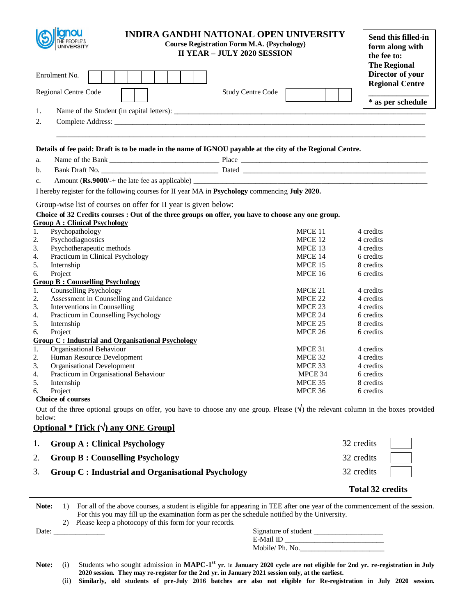| <b>INDIRA GANDHI NATIONAL OPEN UNIVERSITY</b><br><b>Course Registration Form M.A. (Psychology)</b><br><b>UNIVERSITY</b><br><b>II YEAR - JULY 2020 SESSION</b> |         | Send this filled-in<br>form along with<br>the fee to:<br><b>The Regional</b> |
|---------------------------------------------------------------------------------------------------------------------------------------------------------------|---------|------------------------------------------------------------------------------|
| Enrolment No.                                                                                                                                                 |         | Director of your<br><b>Regional Centre</b>                                   |
| <b>Study Centre Code</b><br>Regional Centre Code                                                                                                              |         | * as per schedule                                                            |
| 1.                                                                                                                                                            |         |                                                                              |
| 2.                                                                                                                                                            |         |                                                                              |
|                                                                                                                                                               |         |                                                                              |
| Details of fee paid: Draft is to be made in the name of IGNOU payable at the city of the Regional Centre.                                                     |         |                                                                              |
| a.                                                                                                                                                            |         |                                                                              |
| b.                                                                                                                                                            |         |                                                                              |
| c.                                                                                                                                                            |         |                                                                              |
| I hereby register for the following courses for II year MA in Psychology commencing July 2020.                                                                |         |                                                                              |
|                                                                                                                                                               |         |                                                                              |
| Group-wise list of courses on offer for II year is given below:                                                                                               |         |                                                                              |
| Choice of 32 Credits courses : Out of the three groups on offer, you have to choose any one group.<br><b>Group A: Clinical Psychology</b>                     |         |                                                                              |
| Psychopathology<br>1.                                                                                                                                         | MPCE 11 | 4 credits                                                                    |
| 2.<br>Psychodiagnostics                                                                                                                                       | MPCE 12 | 4 credits                                                                    |
| 3.<br>Psychotherapeutic methods                                                                                                                               | MPCE 13 | 4 credits                                                                    |
| Practicum in Clinical Psychology<br>4.                                                                                                                        | MPCE 14 | 6 credits                                                                    |
| 5.<br>Internship                                                                                                                                              | MPCE 15 | 8 credits                                                                    |
| 6.<br>Project                                                                                                                                                 | MPCE 16 | 6 credits                                                                    |
| <b>Group B: Counselling Psychology</b>                                                                                                                        |         |                                                                              |
| <b>Counselling Psychology</b><br>1.                                                                                                                           | MPCE 21 | 4 credits                                                                    |
| Assessment in Counselling and Guidance<br>2.                                                                                                                  | MPCE 22 | 4 credits                                                                    |
| Interventions in Counselling<br>3.                                                                                                                            | MPCE 23 | 4 credits                                                                    |
| 4.<br>Practicum in Counselling Psychology                                                                                                                     | MPCE 24 | 6 credits                                                                    |
| 5.<br>Internship                                                                                                                                              | MPCE 25 | 8 credits                                                                    |
| 6.<br>Project                                                                                                                                                 | MPCE 26 | 6 credits                                                                    |
| <b>Group C: Industrial and Organisational Psychology</b>                                                                                                      |         |                                                                              |
| Organisational Behaviour<br>1.                                                                                                                                | MPCE 31 | 4 credits                                                                    |
| 2.<br>Human Resource Development                                                                                                                              | MPCE 32 | 4 credits                                                                    |
| 3.<br><b>Organisational Development</b>                                                                                                                       | MPCE 33 | 4 credits                                                                    |
| Practicum in Organisational Behaviour<br>4.                                                                                                                   | MPCE 34 | 6 credits                                                                    |
| 5.<br>Internship                                                                                                                                              | MPCE 35 | 8 credits                                                                    |
| б.<br>Project                                                                                                                                                 | MPCE 36 | 6 credits                                                                    |
| Choice of courses                                                                                                                                             |         |                                                                              |
| Out of the three optional groups on offer, you have to choose any one group. Please $(\check{v})$ the relevant column in the boxes provided                   |         |                                                                              |
| below:                                                                                                                                                        |         |                                                                              |
| Optional * [Tick $(\sqrt{2})$ any ONE Group]                                                                                                                  |         |                                                                              |
| 1.<br><b>Group A: Clinical Psychology</b>                                                                                                                     |         | 32 credits                                                                   |
| 2.<br><b>Group B: Counselling Psychology</b>                                                                                                                  |         | 32 credits                                                                   |
| 3.<br><b>Group C: Industrial and Organisational Psychology</b>                                                                                                |         | 32 credits                                                                   |
|                                                                                                                                                               |         | <b>Total 32 credits</b>                                                      |
| For all of the above courses, a student is eligible for appearing in TEE after one year of the commencement of the session.<br>Note:<br>$\left( \right)$      |         |                                                                              |

For this you may fill up the examination form as per the schedule notified by the University.

2) Please keep a photocopy of this form for your records.

| Date |  | . . | Signature of student |
|------|--|-----|----------------------|
|      |  |     | $F$ -Mail II         |
|      |  |     | Mobile/Ph. No.       |

Note: (i) Students who sought admission in MAPC-1<sup>st</sup> yr. in January 2020 cycle are not eligible for 2nd yr. re-registration in July **2020 session. They may re-register for the 2nd yr. in January 2021 session only, at the earliest.**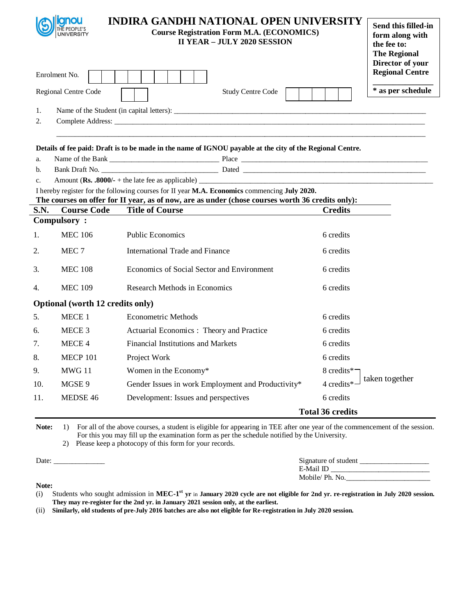| 1.<br>2.       | anou<br>UNIVERSITY<br>Enrolment No.<br>Regional Centre Code | <b>INDIRA GANDHI NATIONAL OPEN UNIVERSITY</b><br><b>Course Registration Form M.A. (ECONOMICS)</b><br><b>II YEAR - JULY 2020 SESSION</b><br><b>Study Centre Code</b>                              |                         | Send this filled-in<br>form along with<br>the fee to:<br><b>The Regional</b><br>Director of your<br><b>Regional Centre</b><br>* as per schedule |
|----------------|-------------------------------------------------------------|--------------------------------------------------------------------------------------------------------------------------------------------------------------------------------------------------|-------------------------|-------------------------------------------------------------------------------------------------------------------------------------------------|
|                |                                                             | Details of fee paid: Draft is to be made in the name of IGNOU payable at the city of the Regional Centre.                                                                                        |                         |                                                                                                                                                 |
| a.             |                                                             |                                                                                                                                                                                                  |                         |                                                                                                                                                 |
| b.             |                                                             |                                                                                                                                                                                                  |                         |                                                                                                                                                 |
| $\mathbf{c}$ . |                                                             |                                                                                                                                                                                                  |                         |                                                                                                                                                 |
|                |                                                             | I hereby register for the following courses for II year M.A. Economics commencing July 2020.<br>The courses on offer for II year, as of now, are as under (chose courses worth 36 credits only): |                         |                                                                                                                                                 |
| S.N.           | <b>Course Code</b>                                          | <b>Title of Course</b>                                                                                                                                                                           | <b>Credits</b>          |                                                                                                                                                 |
|                | <b>Compulsory:</b>                                          |                                                                                                                                                                                                  |                         |                                                                                                                                                 |
| 1.             | <b>MEC 106</b>                                              | <b>Public Economics</b>                                                                                                                                                                          | 6 credits               |                                                                                                                                                 |
| 2.             | MEC 7                                                       | <b>International Trade and Finance</b>                                                                                                                                                           | 6 credits               |                                                                                                                                                 |
| 3.             | <b>MEC 108</b>                                              | Economics of Social Sector and Environment                                                                                                                                                       | 6 credits               |                                                                                                                                                 |
| 4.             | <b>MEC 109</b>                                              | Research Methods in Economics                                                                                                                                                                    | 6 credits               |                                                                                                                                                 |
|                | Optional (worth 12 credits only)                            |                                                                                                                                                                                                  |                         |                                                                                                                                                 |
| 5.             | MECE 1                                                      | <b>Econometric Methods</b>                                                                                                                                                                       | 6 credits               |                                                                                                                                                 |
| 6.             | MECE 3                                                      | Actuarial Economics: Theory and Practice                                                                                                                                                         | 6 credits               |                                                                                                                                                 |
| 7.             | MECE 4                                                      | <b>Financial Institutions and Markets</b>                                                                                                                                                        | 6 credits               |                                                                                                                                                 |
| 8.             | <b>MECP 101</b>                                             | Project Work                                                                                                                                                                                     | 6 credits               |                                                                                                                                                 |
| 9.             | MWG 11                                                      | Women in the Economy*                                                                                                                                                                            | 8 credits*              |                                                                                                                                                 |
| 10.            | MGSE 9                                                      | Gender Issues in work Employment and Productivity*                                                                                                                                               | 4 credits*              | taken together                                                                                                                                  |
| 11.            | MEDSE 46                                                    | Development: Issues and perspectives                                                                                                                                                             | 6 credits               |                                                                                                                                                 |
|                |                                                             |                                                                                                                                                                                                  | <b>Total 36 credits</b> |                                                                                                                                                 |

2) Please keep a photocopy of this form for your records.

Date: \_\_\_\_\_\_\_\_\_\_\_\_\_\_ Signature of student \_\_\_\_\_\_\_\_\_\_\_\_\_\_\_\_\_\_\_

**Note:**

(i) Students who sought admission in **MEC-1 st yr** in **January 2020 cycle are not eligible for 2nd yr. re-registration in July 2020 session. They may re-register for the 2nd yr. in January 2021 session only, at the earliest.** 

E-Mail ID \_\_\_\_\_\_\_\_\_\_\_\_\_\_\_\_\_\_\_\_\_\_\_\_\_\_\_

Mobile/ Ph. No.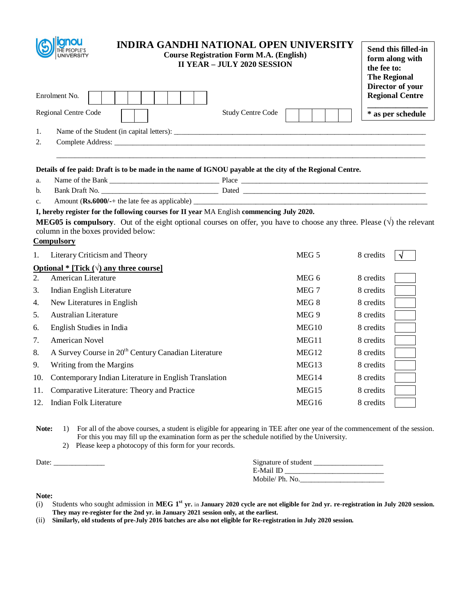|                      | <b>INDIRA GANDHI NATIONAL OPEN UNIVERSITY</b><br><b>Course Registration Form M.A. (English)</b><br><b>II YEAR - JULY 2020 SESSION</b>                                                                                                                                                          |                   | Send this filled-in<br>form along with<br>the fee to:<br><b>The Regional</b><br>Director of your |
|----------------------|------------------------------------------------------------------------------------------------------------------------------------------------------------------------------------------------------------------------------------------------------------------------------------------------|-------------------|--------------------------------------------------------------------------------------------------|
|                      | Enrolment No.                                                                                                                                                                                                                                                                                  |                   | <b>Regional Centre</b>                                                                           |
|                      | Regional Centre Code<br><b>Study Centre Code</b>                                                                                                                                                                                                                                               |                   | * as per schedule                                                                                |
| 1.<br>2.             |                                                                                                                                                                                                                                                                                                |                   |                                                                                                  |
|                      | Details of fee paid: Draft is to be made in the name of IGNOU payable at the city of the Regional Centre.                                                                                                                                                                                      |                   |                                                                                                  |
| a.                   |                                                                                                                                                                                                                                                                                                |                   |                                                                                                  |
| b.<br>C <sub>1</sub> | Amount (Rs.6000/-+ the late fee as applicable)                                                                                                                                                                                                                                                 |                   |                                                                                                  |
|                      | I, hereby register for the following courses for II year MA English commencing July 2020.<br><b>MEG05</b> is compulsory. Out of the eight optional courses on offer, you have to choose any three. Please $(\sqrt{})$ the relevant<br>column in the boxes provided below:<br><b>Compulsory</b> |                   |                                                                                                  |
| 1.                   | Literary Criticism and Theory                                                                                                                                                                                                                                                                  | MEG 5             | 8 credits                                                                                        |
|                      | Optional * [Tick $(\sqrt{})$ any three course]                                                                                                                                                                                                                                                 |                   |                                                                                                  |
| 2.                   | American Literature                                                                                                                                                                                                                                                                            | MEG 6             | 8 credits                                                                                        |
| 3.                   | Indian English Literature                                                                                                                                                                                                                                                                      | MEG 7             | 8 credits                                                                                        |
| 4.                   | New Literatures in English                                                                                                                                                                                                                                                                     | MEG 8             | 8 credits                                                                                        |
| 5.                   | <b>Australian Literature</b>                                                                                                                                                                                                                                                                   | MEG 9             | 8 credits                                                                                        |
| 6.                   | English Studies in India                                                                                                                                                                                                                                                                       | MEG10             | 8 credits                                                                                        |
| 7.                   | American Novel                                                                                                                                                                                                                                                                                 | MEG11             | 8 credits                                                                                        |
| 8.                   | A Survey Course in 20 <sup>th</sup> Century Canadian Literature                                                                                                                                                                                                                                | MEG <sub>12</sub> | 8 credits                                                                                        |
| 9.                   | Writing from the Margins                                                                                                                                                                                                                                                                       | MEG <sub>13</sub> | 8 credits                                                                                        |
| 10.                  | Contemporary Indian Literature in English Translation                                                                                                                                                                                                                                          | MEG14             | 8 credits                                                                                        |
| 11.                  | Comparative Literature: Theory and Practice                                                                                                                                                                                                                                                    | MEG <sub>15</sub> | 8 credits                                                                                        |
| 12.                  | <b>Indian Folk Literature</b>                                                                                                                                                                                                                                                                  | MEG16             | 8 credits                                                                                        |

2) Please keep a photocopy of this form for your records.

Date: \_\_\_\_\_\_\_\_\_\_\_\_\_\_ Signature of student \_\_\_\_\_\_\_\_\_\_\_\_\_\_\_\_\_\_\_

| Signature of student |  |
|----------------------|--|
| E-Mail ID            |  |
| Mobile/ Ph. No.      |  |

- (i) Students who sought admission in **MEG 1st yr.** in **January 2020 cycle are not eligible for 2nd yr. re-registration in July 2020 session. They may re-register for the 2nd yr. in January 2021 session only, at the earliest.**
- (ii) **Similarly, old students of pre-July 2016 batches are also not eligible for Re-registration in July 2020 session.**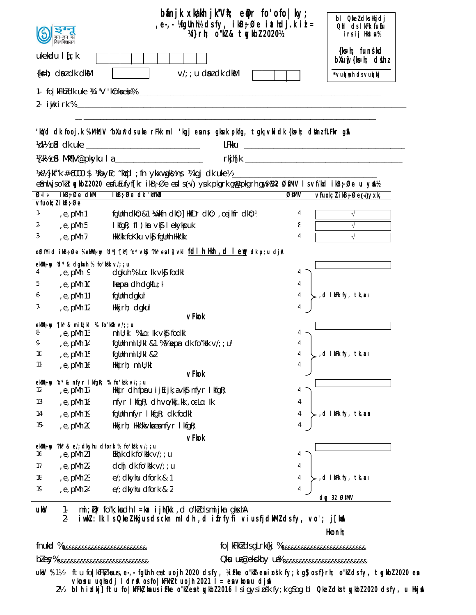| वेश्वविद्यालय                                 | $b$ ánjk xkákh j $k^nV$ h; e $\phi$ r fo $\prime$ ofo $ ky;$<br>,e-,-%fgUnh½ dsfy, ikB-;Øe iathdj.kiiai=<br>Wi}rh; o"kl & tykbl 2020½                                                                                                |        | bl <b>Qkel</b> dks Hkjdj<br>Ohl cls I kFk fuEu<br>irsij Hkta% |
|-----------------------------------------------|--------------------------------------------------------------------------------------------------------------------------------------------------------------------------------------------------------------------------------------|--------|---------------------------------------------------------------|
| $ukekadu$   $\frac{1}{4}$ ; k                 |                                                                                                                                                                                                                                      |        | {k s - h; funskd<br>$b$ Xu $\psi$ { $k$ =h; dishz             |
| $\{ks=h; dm \, dk \, dk\}$                    | $V$ ; u dn dk dkM                                                                                                                                                                                                                    |        | *vud uph ds vud kj                                            |
|                                               |                                                                                                                                                                                                                                      |        |                                                               |
|                                               |                                                                                                                                                                                                                                      |        |                                                               |
|                                               | 'loidd clk fo o j.k %MM; V ^bXunt clsuke rFkk m l 'kg j e an s gkuuk pkfg, t gk; vk i clk {ks=h; clblnz fLFkr g\$A                                                                                                                   |        |                                                               |
|                                               | Volls city of the late <u>the contract of the contract of the contract of the contract of the contract of the contract of the contract of the contract of the contract of the contract of the contract of the contract of the co</u> |        |                                                               |
|                                               | X[k½ c <b>td Mt¶V@pkyku I a _______________________</b>                                                                                                                                                                              |        |                                                               |
|                                               |                                                                                                                                                                                                                                      |        |                                                               |
| ikB; Øe dkM<br>$\overline{Q}$ -l -            | eâni jso'ki tykbi 2020 eafuEufyf[kr ikB;Øe eal s( $\sqrt{ }$ ) yuk pkgrk gp@pkgrh gp%%22 ØSMV Isvf/kd ikB;Øe u y\$L%<br>$ikB$ ; Øe dk 'kh'kbl                                                                                        | ØfMV   | $Vfuck; l ikB; \emptyset e(\sqrt{y}xk)$                       |
| $V$ fuok; $l$ i kB $\frac{1}{2}$ Øe           |                                                                                                                                                                                                                                      |        |                                                               |
| 1-<br>e, pMh 1,                               | fgUnh dk0; &1 \\kfn dk0; ] HkfDr dk0; , oa jhfr dk0; \                                                                                                                                                                               | 4      | $\sqrt{ }$                                                    |
| , e, pMh 5<br>2-                              | I kfgR; fl ) kr vk\$ I ekykpuk                                                                                                                                                                                                       | 8      |                                                               |
| , $e$ , $pMh$ 7<br>3-                         | Hkk'kk foKku ∨k\$j fgUnh Hkk'kk                                                                                                                                                                                                      | 4      |                                                               |
|                                               | o\$dfYiclikBşØe %ekMlşny ^d*]^[k^]^x*vk§j^?k*esl}vki <u>fcllhi.Hkml ,clle.nqq</u> dk.p;udjsl                                                                                                                                         |        |                                                               |
| ekWi; wy 'd* & dgkuh % fo'kk v/;; u           |                                                                                                                                                                                                                                      |        |                                                               |
| e, pMh 9<br>4.                                | dgkuh % Lo: Ik vkj fodkl                                                                                                                                                                                                             | 4      |                                                               |
| , e, pMh 10<br>5-                             | Ikepn dh dgkfu; $k_i$                                                                                                                                                                                                                | 4      |                                                               |
| e, pMh 11,<br>6-                              | fgllnh dgkuh                                                                                                                                                                                                                         | 4      | , d I kFk fy, tk, an                                          |
| 7.<br>e, pMh 12                               | Hkkjrh; dgkuh<br>vFkok                                                                                                                                                                                                               | 4      |                                                               |
| ekMl; wy ^[k* & mill; kl % fo 'k *k v/;; u    |                                                                                                                                                                                                                                      |        |                                                               |
| 8-<br>, e, pMh 13                             | mill; kl %Lo: lk vk <b>s</b> fodkl                                                                                                                                                                                                   |        |                                                               |
| , e, pMh 14<br>9.                             | fgunh mill; kl & 1 % % is pm dk fo "kk $\sqrt{2}$ ; ul                                                                                                                                                                               |        |                                                               |
| 10-<br>$11 -$                                 | e, pMh 15 fgllnh mill; kl &2,                                                                                                                                                                                                        | 4      | ,cl IkFk fy, tk,a⊲                                            |
| , e, pMh 16                                   | Hkkjrh; miU;kl<br>vFkok                                                                                                                                                                                                              |        |                                                               |
| ekM; w 'x' & nfyr I kfgR; % fo'kk v/; ; u     |                                                                                                                                                                                                                                      |        |                                                               |
| $12 -$<br>, e, pMh 17                         | Hkijr dh fpru ij $E$ ijk, a $\nu$ k $\mathfrak f$ nfyr I kfg $R$ ;                                                                                                                                                                   | 4      |                                                               |
| $13-$<br>, e, pMh 18                          | nfyr I kfgR; dh vo/kkj.kk, oaLo: Ik                                                                                                                                                                                                  | 4      |                                                               |
| , e, pMh 19<br>14-                            | fglinh nfyr I kfgR; dk fodkl                                                                                                                                                                                                         | 4<br>4 | ,d IkFk fy, tk, xa                                            |
| , e, pMh 20<br>$15 -$                         | Hkkj $rh$ ; Hkk'kk $\vee$ ka ea nf $\vee$ r I kfg $R$ ;                                                                                                                                                                              |        |                                                               |
| ekWi; w "k" & e/; dkyhu dfork % fo'kk v/; ; u | vFkok                                                                                                                                                                                                                                |        |                                                               |
| $16-$<br>, e, pMh 21                          | Ekhik dk fo'kk $V$ ; ; u                                                                                                                                                                                                             | 4      |                                                               |
| , e, pMh 22<br>$17-$                          | dchj dk fo'kk v/; ; u                                                                                                                                                                                                                | 4      |                                                               |
| 18-<br>, e, pMh 23                            | e/; dkyhu dfork & 1                                                                                                                                                                                                                  | 4      | ,d IkFk fy, tk,axı                                            |
| 19-<br>, e, pMh 24                            | e/; dkyhu dfork & 2                                                                                                                                                                                                                  | 4      | dgy 32 ØfMV                                                   |

uksV 1- mi;  $\bar{\psi}$ r fo"k; ka dh **l=kar ijh{kk** , cl o"kZ d s mijkar gksxhA<br>2- **iwkZ : lk Is Q keZ Hkjus d s ckn m l dh**, **d ifrfyfi** v

iwkZ: Ik Is QkeZ Hkjus ds ckn mldh,d ifrfyfi vius fjdkMZ ds fy, vo'; j[knA

**Hkonh;**

fnukad % &&&&&&&&&&&&&&&&&&&&&&&&&& fo|kFkhZ d s gLrk{kj % &&&&&&&&&&&&&&&&&&&&&&&&&&

bZ esy% &&&&&&&&&&&&&&&&&&&&&&&&&&&& Qksu ua-@eksckby ua-% &&&&&&&&&&&&&&&&&&&&&&&&&&

 $ukV$  %1½ ftu fo|kfFk| kaus, e-,- fgUnh eatuojh 2020 dsfy, ¼iFke o"kZkeainsk fy;k g\$ osf}rh; o"kZ dsfy, tgykbZ 2020 ea **vkosnu ugha dj ldrsA os fo|kFkhZ tuojh 2021 l= esa vkosnu djsaA**

2½ **blh izdkj] ftu fo|kfFkZ;ksa us izFke o"kZ esa tqykbZ 2016** ls igy s izos"k fy;k g S og bl **QkeZ dk s tqykbZ 2020 ds fy, u HkjsaA**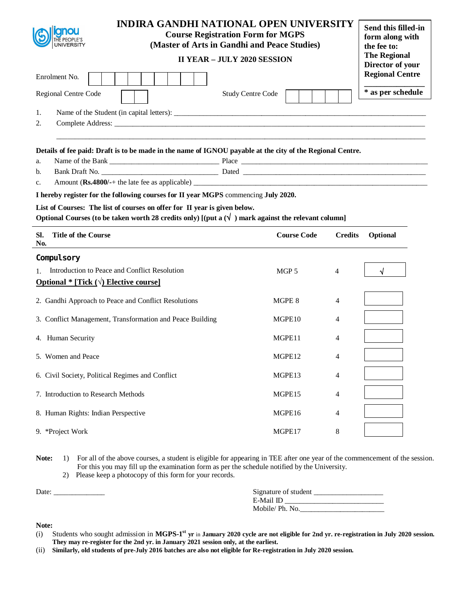| UNIVERSITY                                                                                                                                                                                 | <b>INDIRA GANDHI NATIONAL OPEN UNIVERSITY</b><br><b>Course Registration Form for MGPS</b><br>(Master of Arts in Gandhi and Peace Studies)<br><b>II YEAR - JULY 2020 SESSION</b> | Send this filled-in<br>form along with<br>the fee to:<br><b>The Regional</b> |
|--------------------------------------------------------------------------------------------------------------------------------------------------------------------------------------------|---------------------------------------------------------------------------------------------------------------------------------------------------------------------------------|------------------------------------------------------------------------------|
| Enrolment No.                                                                                                                                                                              | Director of your<br><b>Regional Centre</b>                                                                                                                                      |                                                                              |
| Regional Centre Code                                                                                                                                                                       | <b>Study Centre Code</b>                                                                                                                                                        | * as per schedule                                                            |
| 1.                                                                                                                                                                                         |                                                                                                                                                                                 |                                                                              |
| 2.                                                                                                                                                                                         |                                                                                                                                                                                 |                                                                              |
| Details of fee paid: Draft is to be made in the name of IGNOU payable at the city of the Regional Centre.<br>a.<br>b.<br>c.                                                                |                                                                                                                                                                                 |                                                                              |
| I hereby register for the following courses for II year MGPS commencing July 2020.                                                                                                         |                                                                                                                                                                                 |                                                                              |
| List of Courses: The list of courses on offer for II year is given below.<br>Optional Courses (to be taken worth 28 credits only) [(put a $(\sqrt{\ }$ ) mark against the relevant column] |                                                                                                                                                                                 |                                                                              |
| <b>Title of the Course</b><br>SI.<br>No.                                                                                                                                                   | <b>Course Code</b><br><b>Credits</b>                                                                                                                                            | Optional                                                                     |
| Compul sory                                                                                                                                                                                |                                                                                                                                                                                 |                                                                              |
| Introduction to Peace and Conflict Resolution<br>$1_{-}$                                                                                                                                   | MGP <sub>5</sub><br>4                                                                                                                                                           |                                                                              |
| <b>Optional *</b> [Tick $(\sqrt{})$ Elective course]                                                                                                                                       |                                                                                                                                                                                 |                                                                              |
| 2. Gandhi Approach to Peace and Conflict Resolutions                                                                                                                                       | MGPE 8<br>4                                                                                                                                                                     |                                                                              |
| 3. Conflict Management, Transformation and Peace Building                                                                                                                                  | MGPE <sub>10</sub><br>4                                                                                                                                                         |                                                                              |
| 4. Human Security                                                                                                                                                                          | MGPE11<br>4                                                                                                                                                                     |                                                                              |
| 5. Women and Peace                                                                                                                                                                         | MGPE12<br>4                                                                                                                                                                     |                                                                              |
| 6. Civil Society, Political Regimes and Conflict                                                                                                                                           | MGPE13<br>4                                                                                                                                                                     |                                                                              |
| 7. Introduction to Research Methods                                                                                                                                                        | MGPE15<br>4                                                                                                                                                                     |                                                                              |
| 8. Human Rights: Indian Perspective                                                                                                                                                        | MGPE16<br>4                                                                                                                                                                     |                                                                              |
| 9. *Project Work                                                                                                                                                                           | MGPE17<br>8                                                                                                                                                                     |                                                                              |
|                                                                                                                                                                                            |                                                                                                                                                                                 |                                                                              |

2) Please keep a photocopy of this form for your records.

| Date: | Signature of student |
|-------|----------------------|
|       | E-Mail ID            |
|       | Mobile/Ph. No.       |
|       |                      |

- (i) Students who sought admission in **MGPS-1 st yr** in **January 2020 cycle are not eligible for 2nd yr. re-registration in July 2020 session. They may re-register for the 2nd yr. in January 2021 session only, at the earliest.**
- (ii) **Similarly, old students of pre-July 2016 batches are also not eligible for Re-registration in July 2020 session.**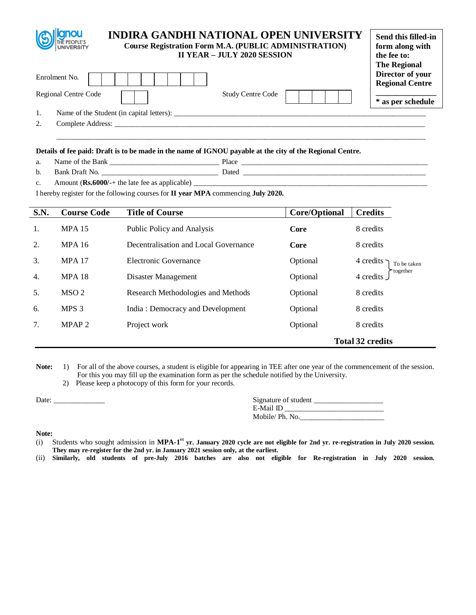| <b>The Regional</b><br>Director of your<br>Enrolment No.              | Send this filled-in<br>form along with |
|-----------------------------------------------------------------------|----------------------------------------|
| <b>Regional Centre</b>                                                |                                        |
| Regional Centre Code<br><b>Study Centre Code</b><br>* as per schedule |                                        |
| 1.                                                                    |                                        |
| 2.                                                                    |                                        |

\_\_\_\_\_\_\_\_\_\_\_\_\_\_\_\_\_\_\_\_\_\_\_\_\_\_\_\_\_\_\_\_\_\_\_\_\_\_\_\_\_\_\_\_\_\_\_\_\_\_\_\_\_\_\_\_\_\_\_\_\_\_\_\_\_\_\_\_\_\_\_\_\_\_\_\_\_\_\_\_\_\_\_\_\_\_\_\_\_\_\_\_\_\_\_\_\_\_\_\_\_

### **Details of fee paid: Draft is to be made in the name of IGNOU payable at the city of the Regional Centre.**

| a. | 'Nai<br>nε<br>mŧ<br>эапк<br>. | <b>Place</b><br>__ |
|----|-------------------------------|--------------------|
|    | 1ro<br>___                    | saw<br>--          |

c. Amount (**Rs.6000/-**+ the late fee as applicable) \_\_\_\_\_\_\_\_\_\_\_\_\_\_\_\_\_\_\_\_\_\_\_\_\_\_\_\_\_\_\_\_\_\_\_\_\_\_\_\_\_\_\_\_\_\_\_\_\_\_\_\_\_\_\_\_\_\_\_\_\_\_\_\_

I hereby register for the following courses for **II year MPA** commencing **July 2020.**

| <b>S.N.</b> | <b>Course Code</b> | <b>Title of Course</b>                | Core/Optional | <b>Credits</b>                     |
|-------------|--------------------|---------------------------------------|---------------|------------------------------------|
| 1.          | <b>MPA 15</b>      | Public Policy and Analysis            | Core          | 8 credits                          |
| 2.          | <b>MPA 16</b>      | Decentralisation and Local Governance | Core          | 8 credits                          |
| 3.          | <b>MPA 17</b>      | Electronic Governance                 | Optional      | 4 credits -<br>To be taken         |
| 4.          | <b>MPA 18</b>      | Disaster Management                   | Optional      | together <sup>-</sup><br>4 credits |
| 5.          | MSO <sub>2</sub>   | Research Methodologies and Methods    | Optional      | 8 credits                          |
| 6.          | MPS <sub>3</sub>   | India: Democracy and Development      | Optional      | 8 credits                          |
| 7.          | MPAP <sub>2</sub>  | Project work                          | Optional      | 8 credits                          |
|             |                    |                                       |               | <b>Total 32 credits</b>            |

- Note: 1) For all of the above courses, a student is eligible for appearing in TEE after one year of the commencement of the session. For this you may fill up the examination form as per the schedule notified by the University.
	- 2) Please keep a photocopy of this form for your records.

| Date: | Signature of student |
|-------|----------------------|
|       | E-Mail ID            |
|       | Mobile/Ph. No.       |

- (i) Students who sought admission in **MPA-1 st yr. January 2020 cycle are not eligible for 2nd yr. re-registration in July 2020 session. They may re-register for the 2nd yr. in January 2021 session only, at the earliest.**
- (ii) **Similarly, old students of pre-July 2016 batches are also not eligible for Re-registration in July 2020 session.**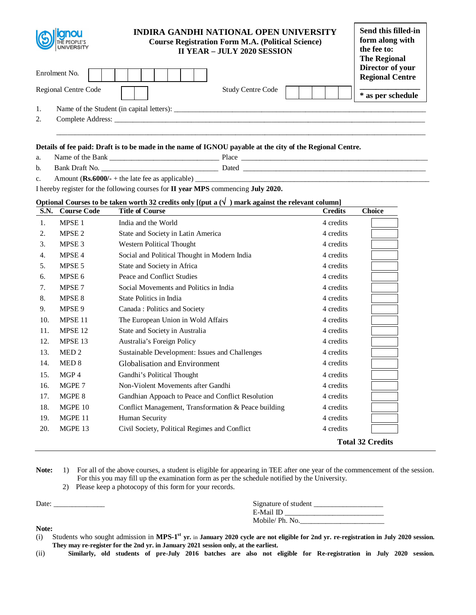| THE PEOPLE'S<br><b>UNIVERSITY</b> | INDIRA GANDHI NATIONAL OPEN UNIVERSITY<br><b>Course Registration Form M.A. (Political Science)</b><br><b>II YEAR - JULY 2020 SESSION</b> | Send this filled-in<br>form along with<br>the fee to:<br><b>The Regional</b> |
|-----------------------------------|------------------------------------------------------------------------------------------------------------------------------------------|------------------------------------------------------------------------------|
| Enrolment No.                     |                                                                                                                                          | Director of your<br><b>Regional Centre</b>                                   |
| Regional Centre Code              | Study Centre Code                                                                                                                        | * as per schedule                                                            |
|                                   |                                                                                                                                          |                                                                              |
| 2.                                |                                                                                                                                          |                                                                              |
|                                   |                                                                                                                                          |                                                                              |

# **Details of fee paid: Draft is to be made in the name of IGNOU payable at the city of the Regional Centre.**

a. Name of the Bank \_\_\_\_\_\_\_\_\_\_\_\_\_\_\_\_\_\_\_\_\_\_\_\_\_\_\_\_\_\_ Place \_\_\_\_\_\_\_\_\_\_\_\_\_\_\_\_\_\_\_\_\_\_\_\_\_\_\_\_\_\_\_\_\_\_\_\_\_\_\_\_\_\_\_\_\_\_\_\_\_\_\_ b. Bank Draft No. \_\_\_\_\_\_\_\_\_\_\_\_\_\_\_\_\_\_\_\_\_\_\_\_\_\_\_\_\_\_\_\_ Dated \_\_\_\_\_\_\_\_\_\_\_\_\_\_\_\_\_\_\_\_\_\_\_\_\_\_\_\_\_\_\_\_\_\_\_\_\_\_\_\_\_\_\_\_\_\_\_\_\_\_

c. Amount  $(Rs.6000/- +$  the late fee as applicable)  $\_$ 

I hereby register for the following courses for **II year MPS** commencing **July 2020.**

# **Optional Courses to be taken worth 32 credits only**  $[(put a (\sqrt{}) )$  **mark against the relevant column]**

| <b>S.N.</b> | <b>Course Code</b> | <b>Title of Course</b>                               | <b>Credits</b> | <b>Choice</b>           |
|-------------|--------------------|------------------------------------------------------|----------------|-------------------------|
| 1.          | MPSE <sub>1</sub>  | India and the World                                  | 4 credits      |                         |
| 2.          | MPSE <sub>2</sub>  | State and Society in Latin America                   | 4 credits      |                         |
| 3.          | MPSE <sub>3</sub>  | Western Political Thought                            | 4 credits      |                         |
| 4.          | MPSE <sub>4</sub>  | Social and Political Thought in Modern India         | 4 credits      |                         |
| 5.          | MPSE <sub>5</sub>  | State and Society in Africa                          | 4 credits      |                         |
| 6.          | MPSE 6             | Peace and Conflict Studies                           | 4 credits      |                         |
| 7.          | MPSE <sub>7</sub>  | Social Movements and Politics in India               | 4 credits      |                         |
| 8.          | MPSE <sub>8</sub>  | State Politics in India                              | 4 credits      |                         |
| 9.          | MPSE 9             | Canada: Politics and Society                         | 4 credits      |                         |
| 10.         | MPSE <sub>11</sub> | The European Union in Wold Affairs                   | 4 credits      |                         |
| 11.         | MPSE <sub>12</sub> | State and Society in Australia                       | 4 credits      |                         |
| 12.         | MPSE <sub>13</sub> | Australia's Foreign Policy                           | 4 credits      |                         |
| 13.         | MED <sub>2</sub>   | Sustainable Development: Issues and Challenges       | 4 credits      |                         |
| 14.         | MED <sub>8</sub>   | Globalisation and Environment                        | 4 credits      |                         |
| 15.         | MGP 4              | Gandhi's Political Thought                           | 4 credits      |                         |
| 16.         | MGPE 7             | Non-Violent Movements after Gandhi                   | 4 credits      |                         |
| 17.         | MGPE 8             | Gandhian Appoach to Peace and Conflict Resolution    | 4 credits      |                         |
| 18.         | MGPE 10            | Conflict Management, Transformation & Peace building | 4 credits      |                         |
| 19.         | MGPE 11            | Human Security                                       | 4 credits      |                         |
| 20.         | MGPE 13            | Civil Society, Political Regimes and Conflict        | 4 credits      |                         |
|             |                    |                                                      |                | <b>Total 32 Credits</b> |

Note: 1) For all of the above courses, a student is eligible for appearing in TEE after one year of the commencement of the session. For this you may fill up the examination form as per the schedule notified by the University. 2) Please keep a photocopy of this form for your records.

| Date: | Signature of student |
|-------|----------------------|
|       | E-Mail ID            |
|       | Mobile/Ph. No.       |

<sup>(</sup>i) Students who sought admission in **MPS-1 st yr.** in **January 2020 cycle are not eligible for 2nd yr. re-registration in July 2020 session. They may re-register for the 2nd yr. in January 2021 session only, at the earliest.** 

<sup>(</sup>ii) **Similarly, old students of pre-July 2016 batches are also not eligible for Re-registration in July 2020 session.**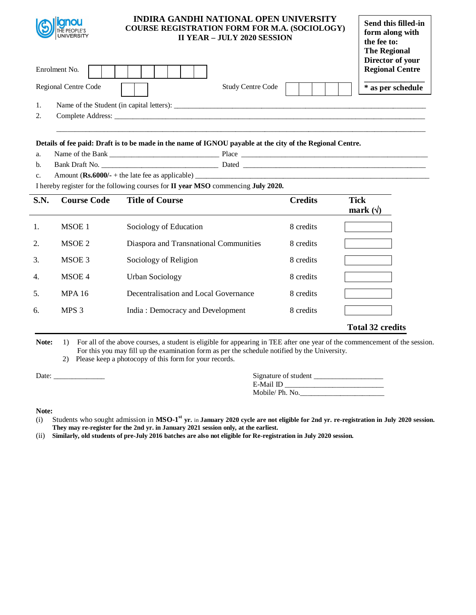| THE PEOPLE'S<br>UNIVERSITY | <b>INDIRA GANDHI NATIONAL OPEN UNIVERSITY</b><br><b>COURSE REGISTRATION FORM FOR M.A. (SOCIOLOGY)</b> | <b>II YEAR - JULY 2020 SESSION</b> | Send this filled-in<br>form along with<br>the fee to:<br><b>The Regional</b><br>Director of your |
|----------------------------|-------------------------------------------------------------------------------------------------------|------------------------------------|--------------------------------------------------------------------------------------------------|
| Enrolment No.              |                                                                                                       |                                    | <b>Regional Centre</b>                                                                           |
| Regional Centre Code       |                                                                                                       | <b>Study Centre Code</b>           | * as per schedule                                                                                |
| 1.                         |                                                                                                       |                                    |                                                                                                  |
| 2.                         |                                                                                                       |                                    |                                                                                                  |
|                            |                                                                                                       |                                    |                                                                                                  |

### **Details of fee paid: Draft is to be made in the name of IGNOU payable at the city of the Regional Centre.**

- a. Name of the Bank \_\_\_\_\_\_\_\_\_\_\_\_\_\_\_\_\_\_\_\_\_\_\_\_\_\_\_\_\_\_ Place \_\_\_\_\_\_\_\_\_\_\_\_\_\_\_\_\_\_\_\_\_\_\_\_\_\_\_\_\_\_\_\_\_\_\_\_\_\_\_\_\_\_\_\_\_\_\_\_\_\_\_ b. Bank Draft No. \_\_\_\_\_\_\_\_\_\_\_\_\_\_\_\_\_\_\_\_\_\_\_\_\_\_\_\_\_\_\_\_ Dated \_\_\_\_\_\_\_\_\_\_\_\_\_\_\_\_\_\_\_\_\_\_\_\_\_\_\_\_\_\_\_\_\_\_\_\_\_\_\_\_\_\_\_\_\_\_\_\_\_\_
	- c. Amount  $(Rs.6000/- +$  the late fee as applicable)  $\_$

I hereby register for the following courses for **II year MSO** commencing **July 2020.**

| S.N.             | <b>Course Code</b> | <b>Title of Course</b>                 | <b>Credits</b> | <b>Tick</b><br>mark $(\forall)$ |
|------------------|--------------------|----------------------------------------|----------------|---------------------------------|
| 1.               | MSOE 1             | Sociology of Education                 | 8 credits      |                                 |
| 2.               | MSOE 2             | Diaspora and Transnational Communities | 8 credits      |                                 |
| 3.               | MSOE 3             | Sociology of Religion                  | 8 credits      |                                 |
| $\overline{4}$ . | MSOE 4             | Urban Sociology                        | 8 credits      |                                 |
| 5.               | <b>MPA 16</b>      | Decentralisation and Local Governance  | 8 credits      |                                 |
| 6.               | MPS <sub>3</sub>   | India: Democracy and Development       | 8 credits      |                                 |
|                  |                    |                                        |                | <b>Total 32 credits</b>         |

Note: 1) For all of the above courses, a student is eligible for appearing in TEE after one year of the commencement of the session. For this you may fill up the examination form as per the schedule notified by the University.

2) Please keep a photocopy of this form for your records.

Date:  $\frac{1}{\sqrt{1-\frac{1}{2}}\cdot\frac{1}{2}}$ 

| Signature of student |  |
|----------------------|--|
| E-Mail ID            |  |
| Mobile/ Ph. No.      |  |

### **Note:**

(i) Students who sought admission in **MSO-1 st yr.** in **January 2020 cycle are not eligible for 2nd yr. re-registration in July 2020 session. They may re-register for the 2nd yr. in January 2021 session only, at the earliest.**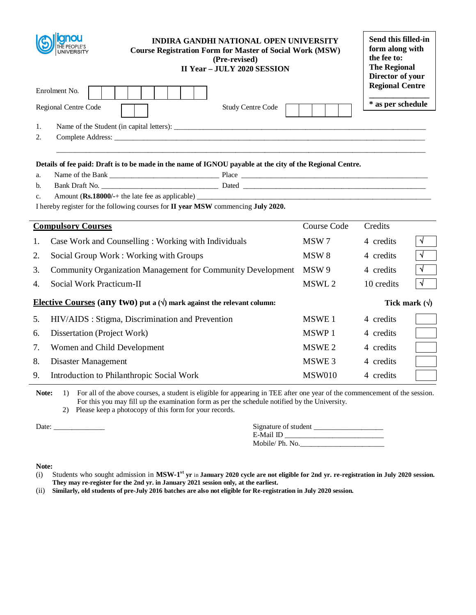|          | <b>INDIRA GANDHI NATIONAL OPEN UNIVERSITY</b><br><b>Course Registration Form for Master of Social Work (MSW)</b><br><b>UNIVERSITY</b><br>(Pre-revised)<br><b>II Year - JULY 2020 SESSION</b>      | Send this filled-in<br>form along with<br>the fee to:<br><b>The Regional</b><br>Director of your |                        |            |
|----------|---------------------------------------------------------------------------------------------------------------------------------------------------------------------------------------------------|--------------------------------------------------------------------------------------------------|------------------------|------------|
|          | Enrolment No.                                                                                                                                                                                     |                                                                                                  | <b>Regional Centre</b> |            |
|          | Regional Centre Code<br><b>Study Centre Code</b>                                                                                                                                                  |                                                                                                  | * as per schedule      |            |
|          |                                                                                                                                                                                                   |                                                                                                  |                        |            |
| 1.       |                                                                                                                                                                                                   |                                                                                                  |                        |            |
| 2.       |                                                                                                                                                                                                   |                                                                                                  |                        |            |
|          |                                                                                                                                                                                                   |                                                                                                  |                        |            |
|          | Details of fee paid: Draft is to be made in the name of IGNOU payable at the city of the Regional Centre.                                                                                         |                                                                                                  |                        |            |
| a.<br>b. |                                                                                                                                                                                                   |                                                                                                  |                        |            |
| c.       | Amount (Rs.18000/-+ the late fee as applicable)                                                                                                                                                   |                                                                                                  |                        |            |
|          | I hereby register for the following courses for II year MSW commencing July 2020.                                                                                                                 |                                                                                                  |                        |            |
|          |                                                                                                                                                                                                   |                                                                                                  |                        |            |
|          | <b>Compulsory Courses</b>                                                                                                                                                                         | Course Code                                                                                      | Credits                |            |
| 1.       | Case Work and Counselling: Working with Individuals                                                                                                                                               | MSW 7                                                                                            | 4 credits              | $\sqrt{ }$ |
| 2.       | Social Group Work: Working with Groups                                                                                                                                                            | MSW <sub>8</sub>                                                                                 | 4 credits              | $\sqrt{ }$ |
| 3.       | Community Organization Management for Community Development                                                                                                                                       | MSW 9                                                                                            | 4 credits              | $\sqrt{ }$ |
| 4.       | Social Work Practicum-II                                                                                                                                                                          | MSWL 2                                                                                           | 10 credits             | $\sqrt{ }$ |
|          | <b>Elective Courses (any two)</b> put a $(\sqrt{})$ mark against the relevant column:                                                                                                             |                                                                                                  | Tick mark $(\forall)$  |            |
| 5.       | HIV/AIDS : Stigma, Discrimination and Prevention                                                                                                                                                  | MSWE 1                                                                                           | 4 credits              |            |
| 6.       | Dissertation (Project Work)                                                                                                                                                                       | MSWP 1                                                                                           | 4 credits              |            |
| 7.       | Women and Child Development                                                                                                                                                                       | MSWE 2                                                                                           | 4 credits              |            |
| 8.       | Disaster Management                                                                                                                                                                               | MSWE <sub>3</sub>                                                                                | 4 credits              |            |
| 9.       | Introduction to Philanthropic Social Work                                                                                                                                                         | <b>MSW010</b>                                                                                    | 4 credits              |            |
|          | $M_{\rm{max}} = 1$ , $D_{\rm{max}} = 11 + 0.4$ , then there is an above the $M_{\rm{max}} = 11 + 0.1$ , $D_{\rm{max}} = 10$ , $D_{\rm{max}} = 10$ , $D_{\rm{max}} = 0.01$ , $D_{\rm{max}} = 0.01$ |                                                                                                  |                        |            |

2) Please keep a photocopy of this form for your records.

Date:  $\frac{\ }{\ }$ 

| Signature of student |  |
|----------------------|--|
| E-Mail ID            |  |
| Mobile/ Ph. No.      |  |

# **Note:**

(i) Students who sought admission in **MSW-1 st yr** in **January 2020 cycle are not eligible for 2nd yr. re-registration in July 2020 session. They may re-register for the 2nd yr. in January 2021 session only, at the earliest.**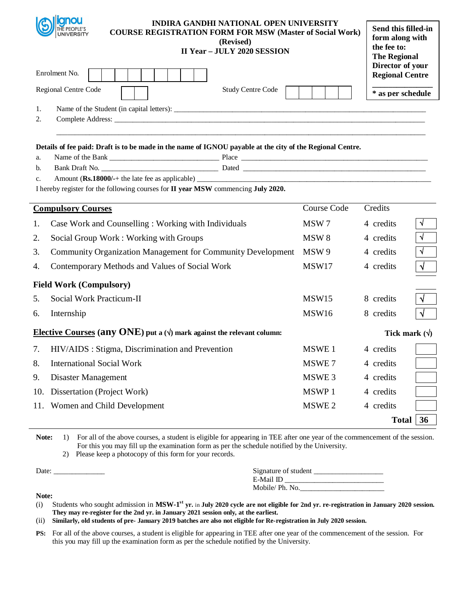| UNIVERSITY                                                                                                | INDIRA GANDHI NATIONAL OPEN UNIVERSITY<br><b>COURSE REGISTRATION FORM FOR MSW (Master of Social Work)</b><br>(Revised)<br><b>II Year - JULY 2020 SESSION</b> | Send this filled-in<br>form along with<br>the fee to:<br><b>The Regional</b> |
|-----------------------------------------------------------------------------------------------------------|--------------------------------------------------------------------------------------------------------------------------------------------------------------|------------------------------------------------------------------------------|
| Enrolment No.                                                                                             | Director of your<br><b>Regional Centre</b>                                                                                                                   |                                                                              |
| Regional Centre Code                                                                                      | <b>Study Centre Code</b>                                                                                                                                     | * as per schedule                                                            |
| 1.<br>2.                                                                                                  |                                                                                                                                                              |                                                                              |
| Details of fee paid: Draft is to be made in the name of IGNOU payable at the city of the Regional Centre. |                                                                                                                                                              |                                                                              |
| a.                                                                                                        |                                                                                                                                                              |                                                                              |
| b.<br>c.                                                                                                  |                                                                                                                                                              |                                                                              |
| I hereby register for the following courses for II year MSW commencing July 2020.                         |                                                                                                                                                              |                                                                              |
| <b>Compulsory Courses</b>                                                                                 | Course Code                                                                                                                                                  | Credits                                                                      |
| Case Work and Counselling: Working with Individuals<br>1.                                                 | MSW <sub>7</sub>                                                                                                                                             | N<br>4 credits                                                               |
| 2.<br>Social Group Work: Working with Groups                                                              | MSW <sub>8</sub>                                                                                                                                             | $\sqrt{ }$<br>4 credits                                                      |
| 3.<br>Community Organization Management for Community Development                                         | MSW 9                                                                                                                                                        | 4 credits                                                                    |
| Contemporary Methods and Values of Social Work<br>4.                                                      | MSW17                                                                                                                                                        | 4 credits                                                                    |
| <b>Field Work (Compulsory)</b>                                                                            |                                                                                                                                                              |                                                                              |
| Social Work Practicum-II<br>5.                                                                            | MSW15                                                                                                                                                        | 8 credits                                                                    |
| 6.<br>Internship                                                                                          | MSW16                                                                                                                                                        | 8 credits<br>N                                                               |
| Elective Courses (any ONE) put a ( $\psi$ ) mark against the relevant column:                             |                                                                                                                                                              | Tick mark $(\forall)$                                                        |
| HIV/AIDS : Stigma, Discrimination and Prevention<br>7.                                                    | MSWE <sub>1</sub>                                                                                                                                            | 4 credits                                                                    |
| 8.<br><b>International Social Work</b>                                                                    | MSWE7                                                                                                                                                        | 4 credits                                                                    |
| 9.<br>Disaster Management                                                                                 | MSWE 3                                                                                                                                                       | 4 credits                                                                    |
| Dissertation (Project Work)<br>10.                                                                        | MSWP 1                                                                                                                                                       | 4 credits                                                                    |
| Women and Child Development<br>11.                                                                        | MSWE <sub>2</sub>                                                                                                                                            | 4 credits                                                                    |
|                                                                                                           |                                                                                                                                                              | 36<br><b>Total</b>                                                           |

2) Please keep a photocopy of this form for your records.

**Note:**

| Date  | Signature of student |
|-------|----------------------|
|       | E-Mail ID            |
|       | Mobile/Ph. No.       |
| - - - |                      |

(i) Students who sought admission in **MSW-1 st yr.** in **July 2020 cycle are not eligible for 2nd yr. re-registration in January 2020 session. They may re-register for the 2nd yr. in January 2021 session only, at the earliest.** 

(ii) **Similarly, old students of pre- January 2019 batches are also not eligible for Re-registration in July 2020 session.**

**PS:** For all of the above courses, a student is eligible for appearing in TEE after one year of the commencement of the session. For this you may fill up the examination form as per the schedule notified by the University.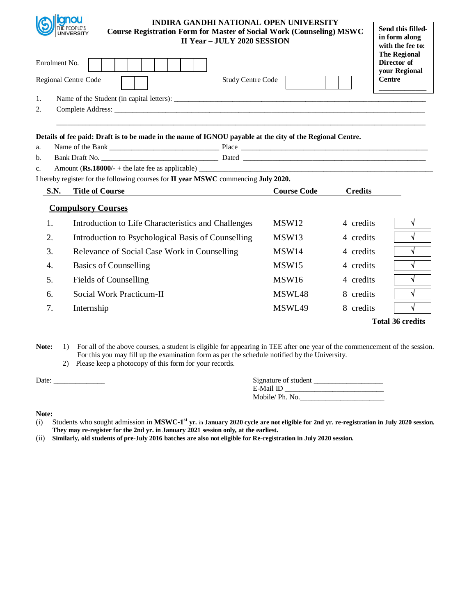

## **INDIRA GANDHI NATIONAL OPEN UNIVERSITY Course Registration Form for Master of Social Work (Counseling) MSWC II Year – JULY 2020 SESSION**

| Enrolment No.<br><b>Regional Centre Code</b><br>1. |                                                                                                           | with the fee to:<br><b>The Regional</b><br>Director of<br>your Regional<br><b>Centre</b> |                |                         |
|----------------------------------------------------|-----------------------------------------------------------------------------------------------------------|------------------------------------------------------------------------------------------|----------------|-------------------------|
| 2.                                                 |                                                                                                           |                                                                                          |                |                         |
| a.                                                 | Details of fee paid: Draft is to be made in the name of IGNOU payable at the city of the Regional Centre. |                                                                                          |                |                         |
| b.                                                 |                                                                                                           |                                                                                          |                |                         |
| $\mathbf{c}$ .                                     |                                                                                                           |                                                                                          |                |                         |
|                                                    | I hereby register for the following courses for II year MSWC commencing July 2020.                        |                                                                                          |                |                         |
| <b>S.N.</b>                                        | <b>Title of Course</b>                                                                                    | <b>Course Code</b>                                                                       | <b>Credits</b> |                         |
|                                                    | <b>Compulsory Courses</b>                                                                                 |                                                                                          |                |                         |
| 1.                                                 | Introduction to Life Characteristics and Challenges                                                       | MSW <sub>12</sub>                                                                        | 4 credits      | √                       |
| 2.                                                 | Introduction to Psychological Basis of Counselling                                                        | MSW13                                                                                    | 4 credits      | V                       |
| 3.                                                 | Relevance of Social Case Work in Counselling                                                              | MSW14                                                                                    | 4 credits      | V                       |
| 4.                                                 | <b>Basics of Counselling</b>                                                                              | MSW15                                                                                    | 4 credits      | √                       |
| 5.                                                 | Fields of Counselling                                                                                     | MSW16                                                                                    | 4 credits      | V                       |
| 6.                                                 | Social Work Practicum-II                                                                                  | MSWL48                                                                                   | 8 credits      | V                       |
| 7.                                                 | Internship                                                                                                | MSWL49                                                                                   | 8 credits      | √                       |
|                                                    |                                                                                                           |                                                                                          |                | <b>Total 36 credits</b> |

Note: 1) For all of the above courses, a student is eligible for appearing in TEE after one year of the commencement of the session. For this you may fill up the examination form as per the schedule notified by the University.

2) Please keep a photocopy of this form for your records.

Date: \_\_\_\_\_\_\_\_\_\_\_\_\_\_ Signature of student \_\_\_\_\_\_\_\_\_\_\_\_\_\_\_\_\_\_\_

| Signature of student |  |
|----------------------|--|
| E-Mail ID            |  |
| Mobile/ Ph. No.      |  |

**Send this filledin form along** 

- (i) Students who sought admission in MSWC-1<sup>st</sup> yr. in January 2020 cycle are not eligible for 2nd yr. re-registration in July 2020 session. **They may re-register for the 2nd yr. in January 2021 session only, at the earliest.**
- (ii) **Similarly, old students of pre-July 2016 batches are also not eligible for Re-registration in July 2020 session.**